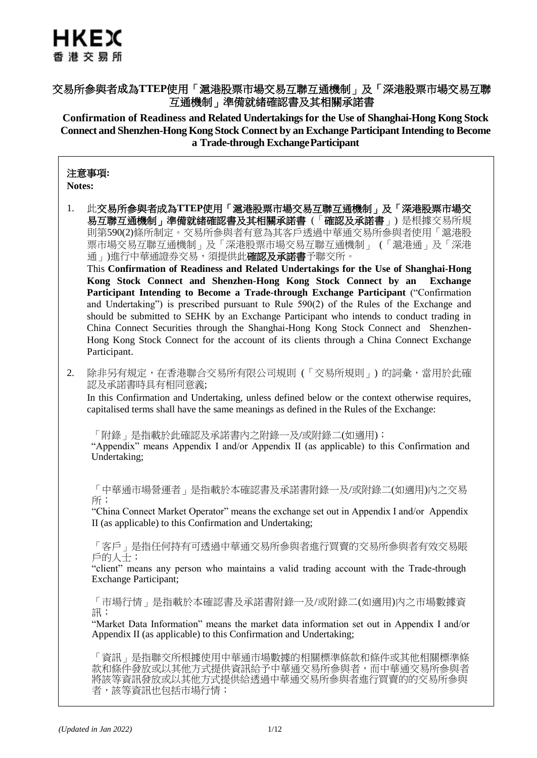# HKEX 香港交易所

## 交易所參與者成為**TTEP**使用「滬港股票市場交易互聯互通機制」及「深港股票市場交易互聯 互通機制」準備就緒確認書及其相關承諾書

**Confirmation of Readiness and Related Undertakings for the Use of Shanghai-Hong Kong Stock Connect and Shenzhen-Hong Kong Stock Connect by an Exchange ParticipantIntending to Become a Trade-through ExchangeParticipant**

### 注意事項**:**

**Notes:**

1. 此交易所參與者成為**TTEP**使用「滬港股票市場交易互聯互通機制」及「深港股票市場交 易互聯互通機制」準備就緒確認書及其相關承諾書 (「確認及承諾書」) 是根據交易所規 則第590(2)條所制定。交易所參與者有意為其客戶透過中華通交易所參與者使用「滬港股 票市場交易互聯互通機制」及「深港股票市場交易互聯互通機制」 (「滬港通」及「深港 通」)進行中華通證券交易,須提供此確認及承諾書予聯交所。

This **Confirmation of Readiness and Related Undertakings for the Use of Shanghai-Hong Kong Stock Connect and Shenzhen-Hong Kong Stock Connect by an Exchange Participant Intending to Become a Trade-through Exchange Participant** ("Confirmation and Undertaking") is prescribed pursuant to Rule 590(2) of the Rules of the Exchange and should be submitted to SEHK by an Exchange Participant who intends to conduct trading in China Connect Securities through the Shanghai-Hong Kong Stock Connect and Shenzhen-Hong Kong Stock Connect for the account of its clients through a China Connect Exchange Participant.

2. 除非另有規定,在香港聯合交易所有限公司規則 (「交易所規則」) 的詞彙,當用於此確 認及承諾書時具有相同意義;

In this Confirmation and Undertaking, unless defined below or the context otherwise requires, capitalised terms shall have the same meanings as defined in the Rules of the Exchange:

「附錄」是指載於此確認及承諾書內之附錄一及/或附錄二(如適用);

"Appendix" means Appendix I and/or Appendix II (as applicable) to this Confirmation and Undertaking;

「中華通市場營運者」是指載於本確認書及承諾書附錄一及/或附錄二(如適用)內之交易 所;

"China Connect Market Operator" means the exchange set out in Appendix I and/or Appendix II (as applicable) to this Confirmation and Undertaking;

「客戶」是指任何持有可透過中華通交易所參與者進行買賣的交易所參與者有效交易賬 戶的人士;

"client" means any person who maintains a valid trading account with the Trade-through Exchange Participant;

「市場行情」是指載於本確認書及承諾書附錄一及/或附錄二(如適用)內之市場數據資 訊;

"Market Data Information" means the market data information set out in Appendix I and/or Appendix II (as applicable) to this Confirmation and Undertaking;

「資訊」是指聯交所根據使用中華通市場數據的相關標準條款和條件或其他相關標準條 款和條件發放或以其他方式提供資訊給予中華通交易所參與者,而中華通交易所參與者 將該等資訊發放或以其他方式提供給透過中華通交易所參與者進行買賣的的交易所參與 者,該等資訊也包括市場行情;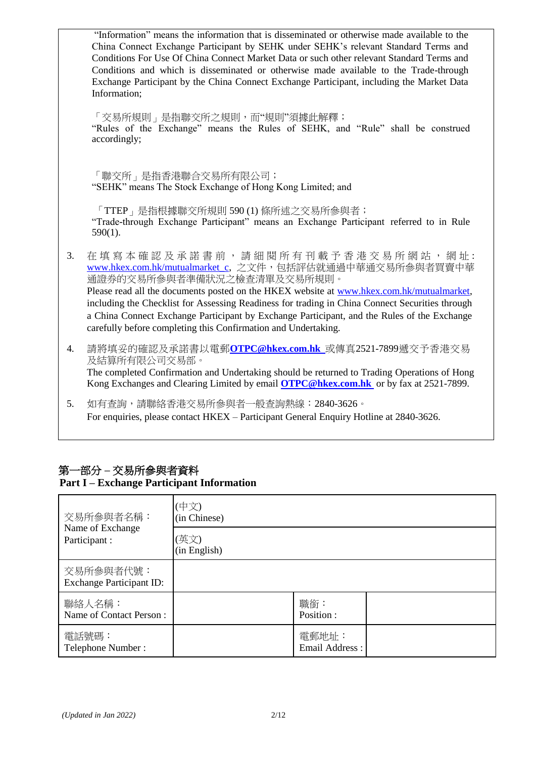|    | "Information" means the information that is disseminated or otherwise made available to the<br>China Connect Exchange Participant by SEHK under SEHK's relevant Standard Terms and<br>Conditions For Use Of China Connect Market Data or such other relevant Standard Terms and<br>Conditions and which is disseminated or otherwise made available to the Trade-through<br>Exchange Participant by the China Connect Exchange Participant, including the Market Data<br>Information;       |
|----|---------------------------------------------------------------------------------------------------------------------------------------------------------------------------------------------------------------------------------------------------------------------------------------------------------------------------------------------------------------------------------------------------------------------------------------------------------------------------------------------|
|    | 「交易所規則」是指聯交所之規則,而"規則"須據此解釋;<br>"Rules of the Exchange" means the Rules of SEHK, and "Rule" shall be construed<br>accordingly;                                                                                                                                                                                                                                                                                                                                                               |
|    | 「聯交所」是指香港聯合交易所有限公司;<br>"SEHK" means The Stock Exchange of Hong Kong Limited; and                                                                                                                                                                                                                                                                                                                                                                                                            |
|    | 「TTEP」是指根據聯交所規則 590 (1) 條所述之交易所參與者;<br>"Trade-through Exchange Participant" means an Exchange Participant referred to in Rule<br>$590(1)$ .                                                                                                                                                                                                                                                                                                                                                 |
| 3. | 在填寫本確認及承諾書前,請細閱所有刊載予香港交易所網站,網址:<br>www.hkex.com.hk/mutualmarket c, 之文件, 包括評估就通過中華通交易所參與者買賣中華<br>通證券的交易所參與者準備狀況之檢查清單及交易所規則。<br>Please read all the documents posted on the HKEX website at www.hkex.com.hk/mutualmarket,<br>including the Checklist for Assessing Readiness for trading in China Connect Securities through<br>a China Connect Exchange Participant by Exchange Participant, and the Rules of the Exchange<br>carefully before completing this Confirmation and Undertaking. |
| 4. | 請將填妥的確認及承諾書以電郵OTPC@hkex.com.hk 或傳真2521-7899遞交予香港交易<br>及結算所有限公司交易部。<br>The completed Confirmation and Undertaking should be returned to Trading Operations of Hong<br>Kong Exchanges and Clearing Limited by email <b>OTPC@hkex.com.hk</b> or by fax at 2521-7899.                                                                                                                                                                                                                           |
| 5. | 如有查詢,請聯絡香港交易所參與者一般查詢熱線:2840-3626。<br>For enquiries, please contact HKEX - Participant General Enquiry Hotline at 2840-3626.                                                                                                                                                                                                                                                                                                                                                                 |
|    |                                                                                                                                                                                                                                                                                                                                                                                                                                                                                             |

### 第一部分 **–** 交易所參與者資料 **Part I – Exchange Participant Information**

| 交易所参與者名稱:                                    | (中文)<br>(in Chinese) |                         |  |
|----------------------------------------------|----------------------|-------------------------|--|
| Name of Exchange<br>Participant :            | (英文)<br>(in English) |                         |  |
| 交易所参與者代號:<br><b>Exchange Participant ID:</b> |                      |                         |  |
| 聯絡人名稱:<br>Name of Contact Person:            |                      | 職銜:<br>Position:        |  |
| 電話號碼:<br>Telephone Number:                   |                      | 電郵地址:<br>Email Address: |  |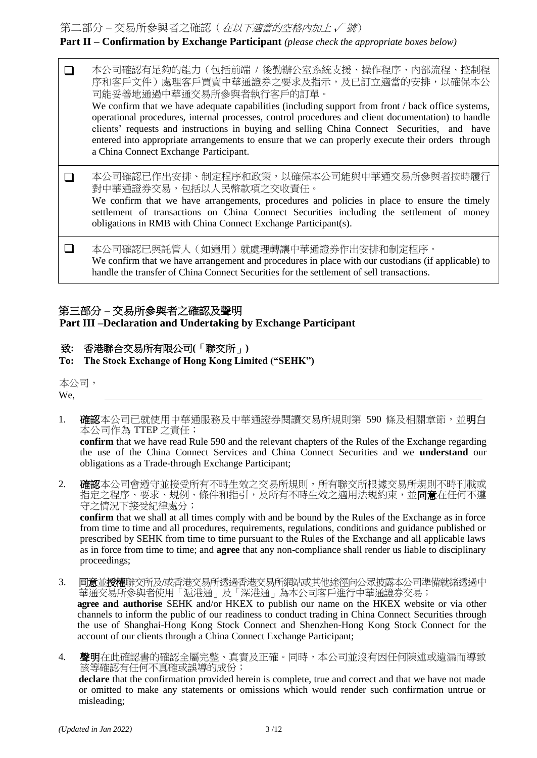第二部分 – 交易所參與者之確認(在以下適當的空格內加上 √ 號)

## **Part II – Confirmation by Exchange Participant** (please check the appropriate boxes below)

 本公司確認有足夠的能力(包括前端 / 後勤辦公室系統支援、操作程序、內部流程、控制程 序和客戶文件)處理客戶買賣中華通證券之要求及指示,及已訂立適當的安排,以確保本公 司能妥善地通過中華通交易所參與者執行客戶的訂單。 We confirm that we have adequate capabilities (including support from front / back office systems, operational procedures, internal processes, control procedures and client documentation) to handle clients' requests and instructions in buying and selling China Connect Securities, and have entered into appropriate arrangements to ensure that we can properly execute their orders through a China Connect Exchange Participant. 本公司確認已作出安排、制定程序和政策,以確保本公司能與中華通交易所參與者按時履行 對中華通證券交易,包括以人民幣款項之交收責任。 We confirm that we have arrangements, procedures and policies in place to ensure the timely settlement of transactions on China Connect Securities including the settlement of money obligations in RMB with China Connect Exchange Participant(s). 本公司確認已與託管人(如適用)就處理轉讓中華通證券作出安排和制定程序。 We confirm that we have arrangement and procedures in place with our custodians (if applicable) to handle the transfer of China Connect Securities for the settlement of sell transactions.

### 第三部分 **–** 交易所參與者之確認及聲明

**Part III –Declaration and Undertaking by Exchange Participant**

### 致**:** 香港聯合交易所有限公司**(**「聯交所」**)**

**To: The Stock Exchange of Hong Kong Limited ("SEHK")**

本公司,

We, <u>the contract of the contract of the contract of the contract of the contract of the contract of the contract of the contract of the contract of the contract of the contract of the contract of the contract of the contr</u>

1. 確認本公司已就使用中華通服務及中華通證券閱讀交易所規則第 590 條及相關章節,並**明白** 本公司作為 TTEP 之責任;

**confirm** that we have read Rule 590 and the relevant chapters of the Rules of the Exchange regarding the use of the China Connect Services and China Connect Securities and we **understand** our obligations as a Trade-through Exchange Participant;

2. **確認**本公司會遵守並接受所有不時生效之交易所規則,所有聯交所根據交易所規則不時刊載或 指定之程序、要求、規例、條件和指引,及所有不時生效之適用法規約束,並**同意**在任何不遵 守之情況下接受紀律處分;

**confirm** that we shall at all times comply with and be bound by the Rules of the Exchange as in force from time to time and all procedures, requirements, regulations, conditions and guidance published or prescribed by SEHK from time to time pursuant to the Rules of the Exchange and all applicable laws as in force from time to time; and **agree** that any non-compliance shall render us liable to disciplinary proceedings;

- 3. 同意並授權聯交所及/或香港交易所透過香港交易所網站或其他途徑向公眾披露本公司準備就緒透過中 華通交易所參與者使用「滬港通」及「深港通」為本公司客戶進行中華通證券交易; **agree and authorise** SEHK and/or HKEX to publish our name on the HKEX website or via other channels to inform the public of our readiness to conduct trading in China Connect Securities through the use of Shanghai-Hong Kong Stock Connect and Shenzhen-Hong Kong Stock Connect for the account of our clients through a China Connect Exchange Participant;
- 4. 聲明在此確認書的確認全屬完整、真實及正確。同時,本公司並沒有因任何陳述或遺漏而導致 該等確認有任何不真確或誤導的成份;

**declare** that the confirmation provided herein is complete, true and correct and that we have not made or omitted to make any statements or omissions which would render such confirmation untrue or misleading;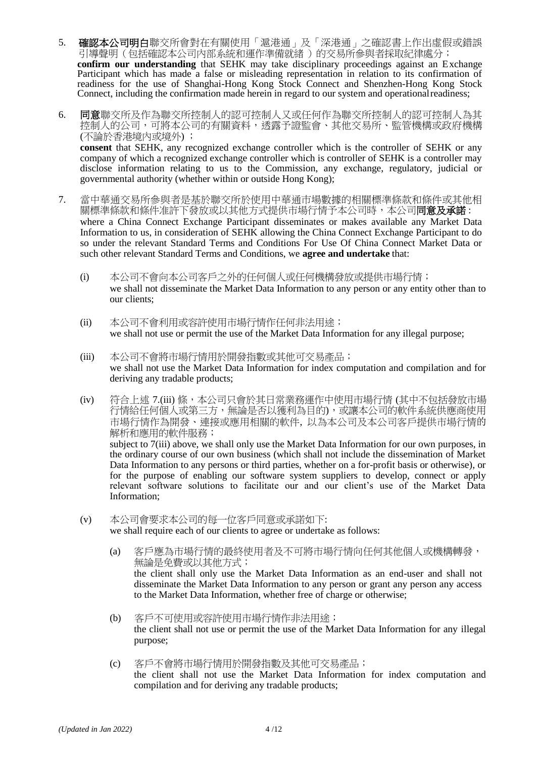- 5. 確認本公司明白聯交所會對在有關使用「滬港通」及「深港通」之確認書上作出虛假或錯誤 引導聲明(包括確認本公司內部系統和運作準備就緒 )的交易所參與者採取紀律處分; **confirm our understanding** that SEHK may take disciplinary proceedings against an Exchange Participant which has made a false or misleading representation in relation to its confirmation of readiness for the use of Shanghai-Hong Kong Stock Connect and Shenzhen-Hong Kong Stock Connect, including the confirmation made herein in regard to our system and operationalreadiness;
- 6. 同意聯交所及作為聯交所控制人的認可控制人又或任何作為聯交所控制人的認可控制人為其 控制人的公司,可將本公司的有關資料,透露予證監會、其他交易所、監管機構或政府機構 (不論於香港境內或境外) ; **consent** that SEHK, any recognized exchange controller which is the controller of SEHK or any company of which a recognized exchange controller which is controller of SEHK is a controller may disclose information relating to us to the Commission, any exchange, regulatory, judicial or governmental authority (whether within or outside Hong Kong);
- 7. 當中華通交易所參與者是基於聯交所於使用中華通巿場數據的相關標準條款和條件或其他相 關標準條款和條件准許下發放或以其他方式提供市場行情予本公司時,本公司同意及承諾: where a China Connect Exchange Participant disseminates or makes available any Market Data Information to us, in consideration of SEHK allowing the China Connect Exchange Participant to do so under the relevant Standard Terms and Conditions For Use Of China Connect Market Data or such other relevant Standard Terms and Conditions, we **agree and undertake** that:
	- (i) 本公司不會向本公司客戶之外的任何個人或任何機構發放或提供市場行情; we shall not disseminate the Market Data Information to any person or any entity other than to our clients;
	- (ii) 本公司不會利用或容許使用市場行情作任何非法用途; we shall not use or permit the use of the Market Data Information for any illegal purpose;
	- (iii) 本公司不會將市場行情用於開發指數或其他可交易產品; we shall not use the Market Data Information for index computation and compilation and for deriving any tradable products;
	- (iv) 符合上述 7.(iii) 條,本公司只會於其日常業務運作中使用市場行情 (其中不包括發放市場 行情給任何個人或第三方,無論是否以獲利為目的),或讓本公司的軟件系統供應商使用 市場行情作為開發、連接或應用相關的軟件, 以為本公司及本公司客戶提供市場行情的 解析和應用的軟件服務; subject to 7(iii) above, we shall only use the Market Data Information for our own purposes, in the ordinary course of our own business (which shall not include the dissemination of Market Data Information to any persons or third parties, whether on a for-profit basis or otherwise), or for the purpose of enabling our software system suppliers to develop, connect or apply relevant software solutions to facilitate our and our client's use of the Market Data Information;
	- (v) 本公司會要求本公司的每一位客戶同意或承諾如下: we shall require each of our clients to agree or undertake as follows:
		- (a) 客戶應為市場行情的最終使用者及不可將市場行情向任何其他個人或機構轉發, 無論是免費或以其他方式; the client shall only use the Market Data Information as an end-user and shall not disseminate the Market Data Information to any person or grant any person any access to the Market Data Information, whether free of charge or otherwise;
		- (b) 客戶不可使用或容許使用市場行情作非法用途; the client shall not use or permit the use of the Market Data Information for any illegal purpose;
		- (c) 客戶不會將市場行情用於開發指數及其他可交易產品; the client shall not use the Market Data Information for index computation and compilation and for deriving any tradable products;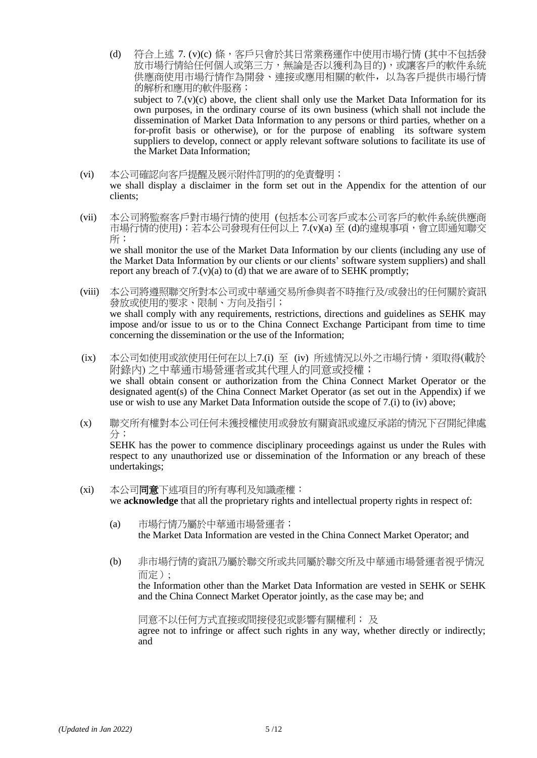- (d) 符合上述 7. (v)(c) 條,客戶只會於其日常業務運作中使用市場行情 (其中不包括發 放市場行情給任何個人或第三方,無論是否以獲利為目的),或讓客戶的軟件系統 供應商使用市場行情作為開發、連接或應用相關的軟件,以為客戶提供市場行情 的解析和應用的軟件服務; subject to  $7.(v)(c)$  above, the client shall only use the Market Data Information for its own purposes, in the ordinary course of its own business (which shall not include the dissemination of Market Data Information to any persons or third parties, whether on a for-profit basis or otherwise), or for the purpose of enabling its software system suppliers to develop, connect or apply relevant software solutions to facilitate its use of the Market Data Information;
- (vi) 本公司確認向客戶提醒及展示附件訂明的的免責聲明; we shall display a disclaimer in the form set out in the Appendix for the attention of our clients;
- (vii) 本公司將監察客戶對市場行情的使用 (包括本公司客戶或本公司客戶的軟件系統供應商 市場行情的使用);若本公司發現有任何以上 7.(v)(a) 至 (d)的違規事項,會立即通知聯交 所; we shall monitor the use of the Market Data Information by our clients (including any use of

the Market Data Information by our clients or our clients' software system suppliers) and shall report any breach of  $7.(v)(a)$  to  $(d)$  that we are aware of to SEHK promptly;

- (viii) 本公司將遵照聯交所對本公司或中華通交易所參與者不時推行及/或發出的任何關於資訊 發放或使用的要求、限制、方向及指引; we shall comply with any requirements, restrictions, directions and guidelines as SEHK may impose and/or issue to us or to the China Connect Exchange Participant from time to time concerning the dissemination or the use of the Information;
- (ix) 本公司如使用或欲使用任何在以上7.(i) 至 (iv) 所述情況以外之市場行情,須取得(載於 附錄內) 之中華通市場營運者或其代理人的同意或授權; we shall obtain consent or authorization from the China Connect Market Operator or the designated agent(s) of the China Connect Market Operator (as set out in the Appendix) if we use or wish to use any Market Data Information outside the scope of 7.(i) to (iv) above;
- (x) 聯交所有權對本公司任何未獲授權使用或發放有關資訊或違反承諾的情況下召開紀律處 分;

SEHK has the power to commence disciplinary proceedings against us under the Rules with respect to any unauthorized use or dissemination of the Information or any breach of these undertakings;

- (xi) 本公司同意下述項目的所有專利及知識產權: we **acknowledge** that all the proprietary rights and intellectual property rights in respect of:
	- (a) 市場行情乃屬於中華通市場營運者; the Market Data Information are vested in the China Connect Market Operator; and
	- (b) 非市場行情的資訊乃屬於聯交所或共同屬於聯交所及中華通市場營運者視乎情況 而定);

the Information other than the Market Data Information are vested in SEHK or SEHK and the China Connect Market Operator jointly, as the case may be; and

同意不以任何方式直接或間接侵犯或影響有關權利; 及 agree not to infringe or affect such rights in any way, whether directly or indirectly; and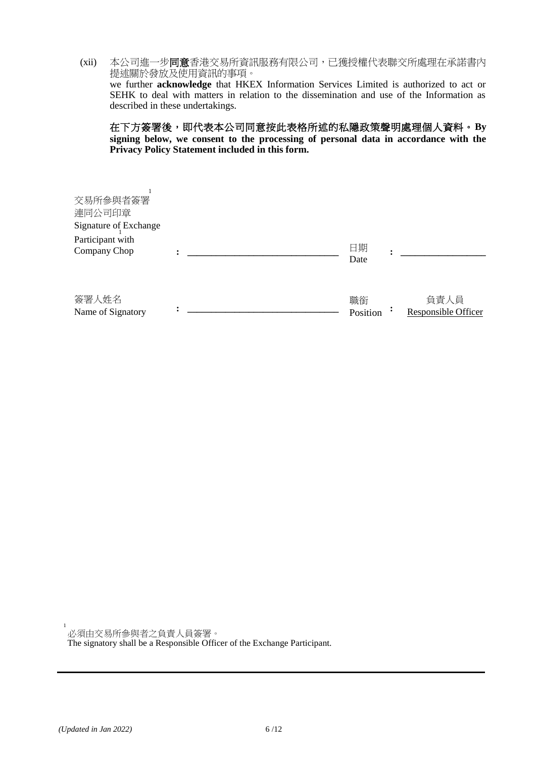(xii) 本公司進一步同意香港交易所資訊服務有限公司,已獲授權代表聯交所處理在承諾書內 提述關於發放及使用資訊的事項。 we further **acknowledge** that HKEX Information Services Limited is authorized to act or SEHK to deal with matters in relation to the dissemination and use of the Information as

described in these undertakings.

在下方簽署後,即代表本公司同意按此表格所述的私隱政策聲明處理個人資料。**By signing below, we consent to the processing of personal data in accordance with the Privacy Policy Statement included in this form.**

| 簽署人姓名<br>Name of Signatory                                                      |  | 職銜<br>Position | 負責人員<br>Responsible Officer |
|---------------------------------------------------------------------------------|--|----------------|-----------------------------|
| 交易所参與者簽署<br>連同公司印章<br>Signature of Exchange<br>Participant with<br>Company Chop |  | 日期<br>Date     |                             |
|                                                                                 |  |                |                             |

必須由交易所參與者之負責人員簽署。

The signatory shall be a Responsible Officer of the Exchange Participant.

1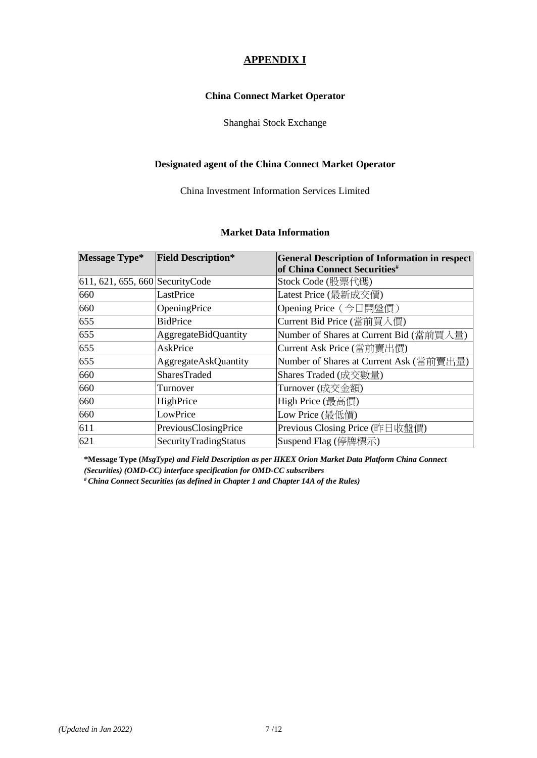## **APPENDIX I**

### **China Connect Market Operator**

### Shanghai Stock Exchange

### **Designated agent of the China Connect Market Operator**

China Investment Information Services Limited

### **Market Data Information**

| <b>Message Type*</b>             | <b>Field Description*</b>   | <b>General Description of Information in respect</b> |
|----------------------------------|-----------------------------|------------------------------------------------------|
|                                  |                             | of China Connect Securities <sup>#</sup>             |
| 611, 621, 655, 660 Security Code |                             | Stock Code (股票代碼)                                    |
| 660                              | LastPrice                   | Latest Price (最新成交價)                                 |
| 660                              | OpeningPrice                | Opening Price (今日開盤價)                                |
| 655                              | <b>BidPrice</b>             | Current Bid Price (當前買入價)                            |
| 655                              | <b>AggregateBidQuantity</b> | Number of Shares at Current Bid (當前買入量)              |
| 655                              | AskPrice                    | Current Ask Price (當前賣出價)                            |
| 655                              | <b>AggregateAskQuantity</b> | Number of Shares at Current Ask (當前賣出量)              |
| 660                              | <b>SharesTraded</b>         | Shares Traded (成交數量)                                 |
| 660                              | Turnover                    | Turnover (成交金額)                                      |
| 660                              | HighPrice                   | High Price (最高價)                                     |
| 660                              | LowPrice                    | Low Price (最低價)                                      |
| 611                              | PreviousClosingPrice        | Previous Closing Price (昨日收盤價)                       |
| 621                              | SecurityTradingStatus       | Suspend Flag (停牌標示)                                  |

**\*Message Type (***MsgType) and Field Description as per HKEX Orion Market Data Platform China Connect (Securities) (OMD-CC) interface specification for OMD-CC subscribers*

**#** *China Connect Securities (as defined in Chapter 1 and Chapter 14A of the Rules)*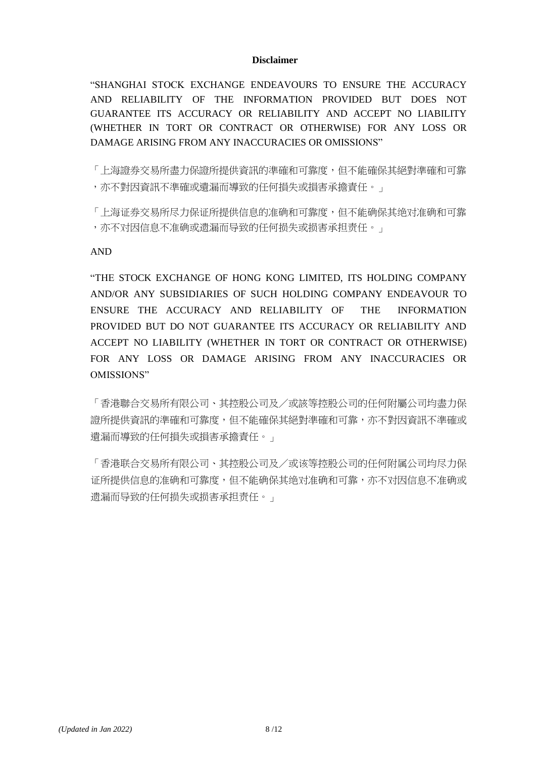### **Disclaimer**

"SHANGHAI STOCK EXCHANGE ENDEAVOURS TO ENSURE THE ACCURACY AND RELIABILITY OF THE INFORMATION PROVIDED BUT DOES NOT GUARANTEE ITS ACCURACY OR RELIABILITY AND ACCEPT NO LIABILITY (WHETHER IN TORT OR CONTRACT OR OTHERWISE) FOR ANY LOSS OR DAMAGE ARISING FROM ANY INACCURACIES OR OMISSIONS"

「上海證券交易所盡力保證所提供資訊的準確和可靠度,但不能確保其絕對準確和可靠 ,亦不對因資訊不準確或遺漏而導致的任何損失或損害承擔責任。」

「上海证券交易所尽力保证所提供信息的准确和可靠度,但不能确保其绝对准确和可靠 ,亦不对因信息不准确或遗漏而导致的任何损失或损害承担责任。」

AND

"THE STOCK EXCHANGE OF HONG KONG LIMITED, ITS HOLDING COMPANY AND/OR ANY SUBSIDIARIES OF SUCH HOLDING COMPANY ENDEAVOUR TO ENSURE THE ACCURACY AND RELIABILITY OF THE INFORMATION PROVIDED BUT DO NOT GUARANTEE ITS ACCURACY OR RELIABILITY AND ACCEPT NO LIABILITY (WHETHER IN TORT OR CONTRACT OR OTHERWISE) FOR ANY LOSS OR DAMAGE ARISING FROM ANY INACCURACIES OR OMISSIONS"

「香港聯合交易所有限公司、其控股公司及/或該等控股公司的任何附屬公司均盡力保 證所提供資訊的準確和可靠度,但不能確保其絕對準確和可靠,亦不對因資訊不準確或 遺漏而導致的任何損失或損害承擔責任。」

「香港联合交易所有限公司、其控股公司及/或该等控股公司的任何附属公司均尽力保 证所提供信息的准确和可靠度,但不能确保其绝对准确和可靠,亦不对因信息不准确或 遗漏而导致的任何损失或损害承担责任。」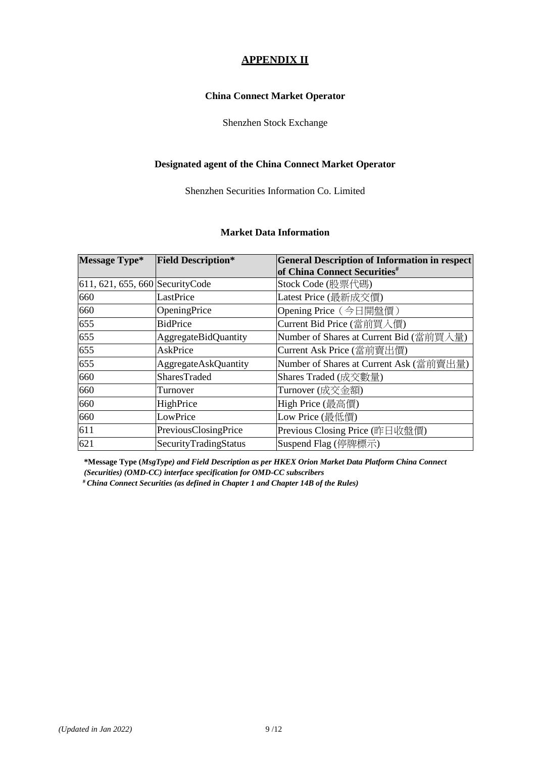## **APPENDIX II**

### **China Connect Market Operator**

### Shenzhen Stock Exchange

### **Designated agent of the China Connect Market Operator**

Shenzhen Securities Information Co. Limited

### **Market Data Information**

| <b>Message Type*</b>             | <b>Field Description*</b>   | <b>General Description of Information in respect</b> |
|----------------------------------|-----------------------------|------------------------------------------------------|
|                                  |                             | of China Connect Securities <sup>#</sup>             |
| 611, 621, 655, 660 Security Code |                             | Stock Code (股票代碼)                                    |
| 660                              | LastPrice                   | Latest Price (最新成交價)                                 |
| 660                              | OpeningPrice                | Opening Price (今日開盤價)                                |
| 655                              | <b>BidPrice</b>             | Current Bid Price (當前買入價)                            |
| 655                              | <b>AggregateBidQuantity</b> | Number of Shares at Current Bid (當前買入量)              |
| 655                              | AskPrice                    | Current Ask Price (當前賣出價)                            |
| 655                              | <b>AggregateAskQuantity</b> | Number of Shares at Current Ask (當前賣出量)              |
| 660                              | <b>SharesTraded</b>         | Shares Traded (成交數量)                                 |
| 660                              | Turnover                    | Turnover (成交金額)                                      |
| 660                              | HighPrice                   | High Price (最高價)                                     |
| 660                              | LowPrice                    | Low Price (最低價)                                      |
| 611                              | PreviousClosingPrice        | Previous Closing Price (昨日收盤價)                       |
| 621                              | SecurityTradingStatus       | Suspend Flag (停牌標示)                                  |

**\*Message Type (***MsgType) and Field Description as per HKEX Orion Market Data Platform China Connect (Securities) (OMD-CC) interface specification for OMD-CC subscribers*

**#** *China Connect Securities (as defined in Chapter 1 and Chapter 14B of the Rules)*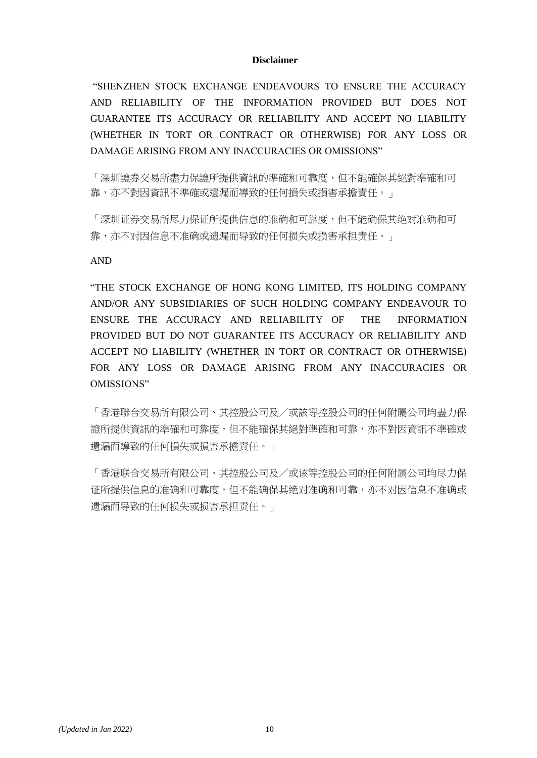### **Disclaimer**

"SHENZHEN STOCK EXCHANGE ENDEAVOURS TO ENSURE THE ACCURACY AND RELIABILITY OF THE INFORMATION PROVIDED BUT DOES NOT GUARANTEE ITS ACCURACY OR RELIABILITY AND ACCEPT NO LIABILITY (WHETHER IN TORT OR CONTRACT OR OTHERWISE) FOR ANY LOSS OR DAMAGE ARISING FROM ANY INACCURACIES OR OMISSIONS"

「深圳證券交易所盡力保證所提供資訊的準確和可靠度,但不能確保其絕對準確和可 靠,亦不對因資訊不準確或遺漏而導致的任何損失或損害承擔責任。」

「深圳证券交易所尽力保证所提供信息的准确和可靠度,但不能确保其绝对准确和可 靠,亦不对因信息不准确或遗漏而导致的任何损失或损害承担责任。」

AND

"THE STOCK EXCHANGE OF HONG KONG LIMITED, ITS HOLDING COMPANY AND/OR ANY SUBSIDIARIES OF SUCH HOLDING COMPANY ENDEAVOUR TO ENSURE THE ACCURACY AND RELIABILITY OF THE INFORMATION PROVIDED BUT DO NOT GUARANTEE ITS ACCURACY OR RELIABILITY AND ACCEPT NO LIABILITY (WHETHER IN TORT OR CONTRACT OR OTHERWISE) FOR ANY LOSS OR DAMAGE ARISING FROM ANY INACCURACIES OR OMISSIONS"

「香港聯合交易所有限公司、其控股公司及/或該等控股公司的任何附屬公司均盡力保 證所提供資訊的準確和可靠度,但不能確保其絕對準確和可靠,亦不對因資訊不準確或 遺漏而導致的任何損失或損害承擔責任。」

「香港联合交易所有限公司、其控股公司及/或该等控股公司的任何附属公司均尽力保 证所提供信息的准确和可靠度,但不能确保其绝对准确和可靠,亦不对因信息不准确或 遗漏而导致的任何损失或损害承担责任。」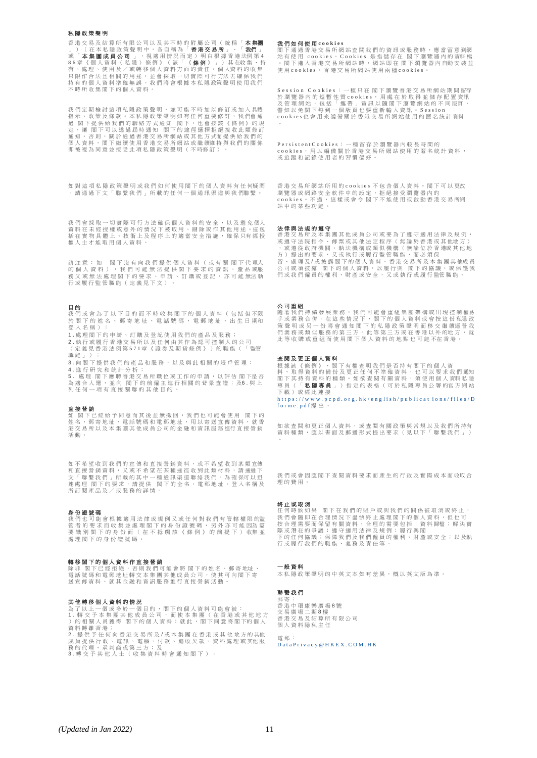#### 私 隱 政 策 聲 明

香港交易及結算所有限公司以及其不時的附屬公司(統稱「**本集團**」)(在本紀慶政策準明中,各自稱為「**香港支易所」**、「**我們」**<br>或「**本集團成員公司** 」,視適用情況而定)明白根據香港分為「有人<br>或「体集團成員公司」,視適用情況而定)明白根據香港法例第4<br>86章《個人資料(私隱)條例)(該「《**條例**》」)其在收集、特<br>有代信台法員科準確無誤。我們將會根據本私隱政策聲明使用我<br>持有的個人資料準確無誤。我們將會根據本私隱政策聲明使用我們 不 時 所 收 集 閣 下 的 個 人 資 料 。

我們定期檢討這項私隱政策聲明,並可能不時加以修訂或加入具體 指示、 政 策 及 條 款 。 本 私 隱 政 策 聲 明 如 有 任 何 重 要 修 訂 , 我 們會 通<br>過 閣 下 提 供 給 我 們 的 聯 絡 方 式 通 知 閣 下 , 也 會 按 读 (條 例 ) 的 規<br>定 , 讓 閣 下 可 以 透 過 屆 時 通 知 閣 下 的 途 徑 選 擇 拒 絕 接 收 此 類 修 訂 通 知 。 否 則 , 關 於 通 過 香 港 交 易 所 網 站 或 其 他 方 式而 提 供 給 我 們 的 個 人 資 料 , 閣 下 繼 續 使 用 香 港 交 易 所 網 站 或 繼 續維 持 與 我 們 的 關 係<br>即 被 視 為 同 意 並 接 受 此 項 私 隱 政 策 聲 明 ( 不 時修 訂 ) 。

如 對 這 項 私 隱 政 策 聲 明 或 我 們 如 何 使 用 閣 下 的 個 人 資 料 有 任 何疑 問 ,請 通 過 下 文 「 聯 繫 我 們 」 所 載 的 任 何 一 個 通 訊 渠 道 與 我 們聯 繫 。

我們會採取一切實際可行方法確保個人資料的安全,以及避免個人 資 料 在 未 經 授 權 或 意 外 的 情 況 下 被 取 用 、 刪 除 或 作 其 他 用 途 。這 包<br>括 在 實 物 具 體 上 、 技 術 上 及 程 序 上 的 適 當 安 全 措 施 , 確 保 只有 經 授 把 士 人 的 六 … 二 八 … 二

請注意:如 閣下沒有向我們提供個人資料(或有關 閣下代理人<br>的個人資料) ,我們可能無法提供閣下要求的資訊、或通信<br>務又或無法處理閣下的要求、申請、訂購或登記,亦可能無法執 行或履行監管職能 (定義見下文)

#### 目 的

我 們 或 會 為 了 以 下 目 的 而 不 時 收 集 閣 下 的 個 人 資 料 ( 包 括 但 不限 於 閣 下 的 姓 名 、 郵 寄 地 址 、 電 話 號 碼 、 電 郵 地 址 、 出 生 日 期和 登 入 名 稱 ) :

- 1 . 處 理 閣 下 的 申 請 、 訂 購 及 登 記 使 用 我 們 的 產 品 及 服 務 ;
- 2 . 執 行 或 履 行 香 港 交 易 所 以 及 任 何 由 其 作 為 認 可 控 制 人 的 公 司 ( 定 義 見 香 港 法 例 第 5 7 1 章 《 證 券 及 期 貨 條 例 》 ) 的 職 能 ( 「 監管 **職 能** 」 ) ;
- 3 . 向 閣 下 提 供 我 們 的 產 品 和 服 務 , 以 及 與 此 相 關 的 賬 戶 管 理 ; 4 . 進 行 研 究 和 統 計 分 析 ;

5 . 處理 閣下應聘香港交易所職位或工作的申請,以評估 閣下是否<br>為適合人選,並向 閣下的前僱主進行相關的背景查證;及6 .與上 网在日六年 一五日 福十 高加福王建山

**直接營銷**<br>如 閣下已經給予同意而其後並無撤回,我們也可能會使用 閣下的<br>姓名、郵寄地址、電話號碼和電郵地址,用以寄送宣傳資料,就香 港 交 易 所 以 及 本 集 團 其 他 成 員 公 司 的 金 融 和 資 訊 服 務 進行 直 接 營 銷 活 動 。

如 不 希 望 收 到 我 們 的 宣 傳 和 直 接 營 銷 資 料 , 或 不 希 望 收 到 某 類 宣傳 和直接營銷資料,又或不希望在某種途徑收到此類材料,請通過下<br>文「聯繫我們」所載的其中一種通訊渠道聯絡我們。為確保可以迅<br>速慮理 閣下的要求,請提供 閣下的全名、電郵地址、登入名稱及 元 《 三 一 品 ) 。 〈 「 」 「 」 「 」 「 」 」 「 」 「 」 」 「 」 「 」 」 「 」 「 」 」 「 」 」 「 」 「 」 」 「

**身份證號碼**<br>我們也可能會根據適用法律或規例又或任何對我們有管轄權限的監<br>管者的要求而收集並處理閣下的身份證號碼 · 另外亦可能因為需<br>要識別閣下的身份證號碼 ·<br>處理閣下的身份證號碼 ·

#### 轉 移 閣 下 的 個 人 資 料 作 直 接 營 銷

除非 閣下已經拒絕,否則我們可能會將 閣下的姓名、郵寄地址、<br>電話號碼和電郵地址轉交本集團其他成員公司,使其可向閣下寄<br>送宣傳資料,就其金融和資訊服務進行直接營銷活動。

#### 其 他 轉 移 個 人 資 料 的 情 況

為了以上一個或多於一個目的,閣下的個人資料可能會被:<br>1.轉交予本集團其他成員公司,而使本集團(在香港或其他地方<br>)的相關人員獲得 閣下的個人資料;就此,閣下同意將閣下的個人 資 料 轉 離 香 港 ; 2 . 提 供 予 任 何 向 香 港 交 易 所 及 / 或 本 集 團 在 香 港 或 其 他 地 方 的 其他

成員提供行政、電訊、電腦、付款、追收欠款、資料處理或其他服<br>務的代理、承判商或第三方;及<br>3.轉交予其他人士(收集資料時會通知閣下)。

#### 我 們 如 何 使 用 **c o o k i e s**

閣下通過香港交易所網站查閱我們的資訊或服務時,應當留意到網<br>站有使用 cookies。Cookies 是指結存在 閣下瀏覽器内的資料檔<br>。閣下進入香港交易所網站時,網站即在 閣下瀏覽器内自動安裝並 使 用 c o o k i e s 。 香 港 交 易 所 網 站 使 用 兩 種 c o o k i e s 。

Session Cookies: 一種只在 閣下瀏覽香港交易所網站期間留存 於 瀏 覽 器 内 的 短 暫 性 質 cook ies, 用 處 在 於 取 得 並 儲 存 配 置 資訊<br>及 管 理 網 站 , 包 括 「 攜 帶 」 資 訊 以 隨 閣 下 濁 覽 網 站 的 不 同 版頁 ,<br>譬 如 以 免 閣 下 每 到 一 個 版 頁 也 要 重 新 輸 人 資 訊 。 Session 言如必无闇」母均 個級員也女皇初欄八員部 3005101  $\circ$ 

PersistentCookies:一種留存於瀏覽器內較長時間的<br>cookies,用以編備關於香港交易所網站使用的匿名統計資料,<br>或追蹤和記錄使用者的習慣偏好。

香港交易所網站所用的cookies 不包含個人資料。閣下可以更改<br>瀏覽器或網路安全軟件中的設定,拒絕接受瀏覽器内的<br>cookies。不過,這樣或會令 閣下不能使用或啟動香港交易所網 站 中 的 某 些 功 能 。

### 法律與法規的遵守

香港交易所及本集團其他成員公司或要為了遵守適用法律及規例,<br>或遵守法院指令、博票或其他法定程序(無論於香港或非他地方)<br>,或遵從政府機關、執法機構或類似機構(無論位於香港或其他地<br>方)提出的要求,又或執行或履行監管職能,而必須保 留、處理及/或披露閣下的個人資料。香港交易所及本集團其他成員<br>公司或須披露 閣下的個人資料,以履行與 閣下的協議,或保護我<br>們或我們僱員的權利、財產或安全,又或執行或履行監管職能。

#### 公司重組

隨著我們持續發展業務,我們可能會重組集團架構或出現控制權易<br>手或聲那或另一份將會通知下,閣下的個人資料或會按道德運營的是<br>策聲明或另一份將會通知閣下的私隱政策聲明而移交繼續運營我<br>們業務或類似服務的第三方。此等第三方或在香港以外的地方,就<br>此等收購或重組而使用閣下個人資料的地點也可能不在香港。

#### 查 閱 及 更 正 個 人 資 料

根據該《條例》,閣下有權查明我們是否持有閣下的個人資<br>料、取得資料的備份及更正任何不準確資料,也可以要求們通知<br>閣下其持有資料的種類。如欲故事有關資料,須使用個人資料私隱<br>閣員(「**私隱專員**」)指定的表格(可於私隱專員公署的官方網站 下 載 ) 或 經 此 連 接

h t t p s : //www.pcpd.org.hk/english/publications/files/D forme.pdf提出。

如 欲 查 閱 和 更 正 個 人 資 料 , 或 查 閱 有 關 政 策 與 常 規 以 及 我 們 所 持有<br>資 料 種 類 , 應 以 書 面 及 郵 遞 形 式 提 出 要 求 ( 見 以 下 「 聯 繫 我 們 」 )  $\circ$ 

我們或會因應閣下查閱資料要求而產生的行政及實際成本而收取合 理 的 費 用 。

終 止 或 取 消 ☆ エスペン ... 我 們 會 隨 即 在 合 理 情 況 下 盡 快 終 止 處 理 閣 下 的 個 人 資 料 , 但 也 可<br>按 合 理 需 要 而 保 留 有 關 資 料 , 合 理 的 需 要 包 括 : 資 料 歸檔 ; 解 決 實 際或潛在的爭議;遵守適用法律及規例;履行與閣<br>下的任何協議;保障我們及我們僱員的權利、財產或安全;以及執<br>行或履行我們的職能、義務及責任等。

### 一 般 資 料

本 私 隱 政 策 聲 明 的 中 英 文 本 如 有 差 異 , 概 以 英 文 版 為 準 。

#### 聯 繫 我 們 郵 寄 :

香 港 中 環 康 樂 廣 場 8 號 交 易 廣 場 二 期 8 樓<br>香 港 交 易 及 結 算 所 有 限 公 司 個 人 資 料 隱 私 主 任 電 郵 :

Data Privacy @ H K E X . C O M . H K